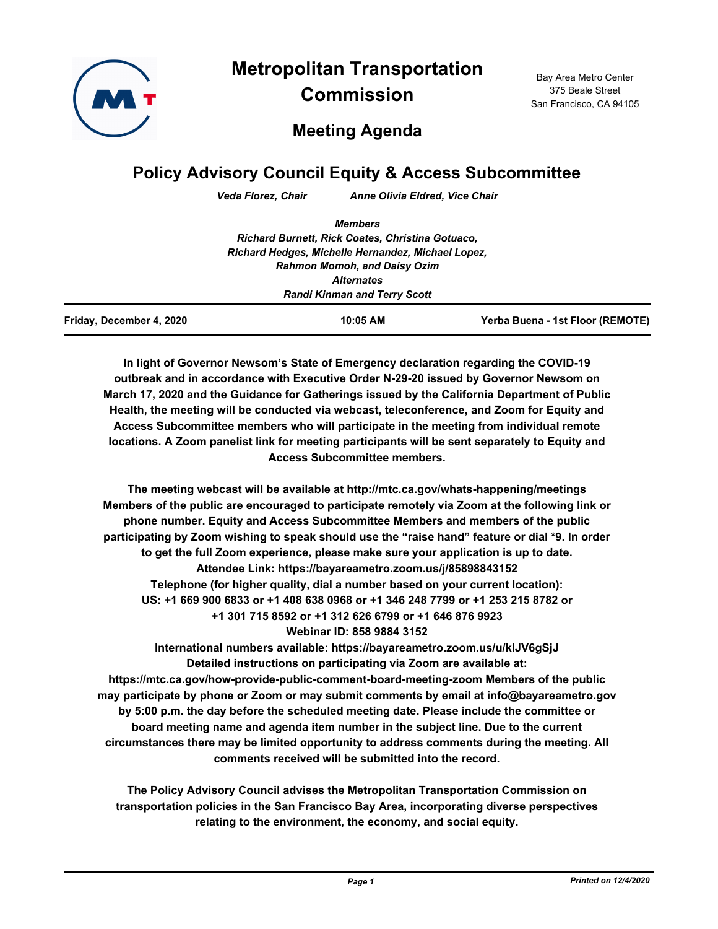

**Metropolitan Transportation Commission**

Bay Area Metro Center 375 Beale Street San Francisco, CA 94105

# **Meeting Agenda**

# **Policy Advisory Council Equity & Access Subcommittee**

*Veda Florez, Chair Anne Olivia Eldred, Vice Chair*

|                          | <b>Members</b>                                     |                                  |
|--------------------------|----------------------------------------------------|----------------------------------|
|                          | Richard Burnett, Rick Coates, Christina Gotuaco,   |                                  |
|                          | Richard Hedges, Michelle Hernandez, Michael Lopez, |                                  |
|                          | <b>Rahmon Momoh, and Daisy Ozim</b>                |                                  |
|                          | <b>Alternates</b>                                  |                                  |
|                          | <b>Randi Kinman and Terry Scott</b>                |                                  |
| Friday, December 4, 2020 | 10:05 AM                                           | Yerba Buena - 1st Floor (REMOTE) |

**In light of Governor Newsom's State of Emergency declaration regarding the COVID-19 outbreak and in accordance with Executive Order N-29-20 issued by Governor Newsom on March 17, 2020 and the Guidance for Gatherings issued by the California Department of Public Health, the meeting will be conducted via webcast, teleconference, and Zoom for Equity and Access Subcommittee members who will participate in the meeting from individual remote locations. A Zoom panelist link for meeting participants will be sent separately to Equity and Access Subcommittee members.**

**The meeting webcast will be available at http://mtc.ca.gov/whats-happening/meetings Members of the public are encouraged to participate remotely via Zoom at the following link or phone number. Equity and Access Subcommittee Members and members of the public participating by Zoom wishing to speak should use the "raise hand" feature or dial \*9. In order to get the full Zoom experience, please make sure your application is up to date. Attendee Link: https://bayareametro.zoom.us/j/85898843152 Telephone (for higher quality, dial a number based on your current location): US: +1 669 900 6833 or +1 408 638 0968 or +1 346 248 7799 or +1 253 215 8782 or +1 301 715 8592 or +1 312 626 6799 or +1 646 876 9923 Webinar ID: 858 9884 3152**

**International numbers available: https://bayareametro.zoom.us/u/klJV6gSjJ Detailed instructions on participating via Zoom are available at: https://mtc.ca.gov/how-provide-public-comment-board-meeting-zoom Members of the public may participate by phone or Zoom or may submit comments by email at info@bayareametro.gov by 5:00 p.m. the day before the scheduled meeting date. Please include the committee or board meeting name and agenda item number in the subject line. Due to the current circumstances there may be limited opportunity to address comments during the meeting. All comments received will be submitted into the record.**

**The Policy Advisory Council advises the Metropolitan Transportation Commission on transportation policies in the San Francisco Bay Area, incorporating diverse perspectives relating to the environment, the economy, and social equity.**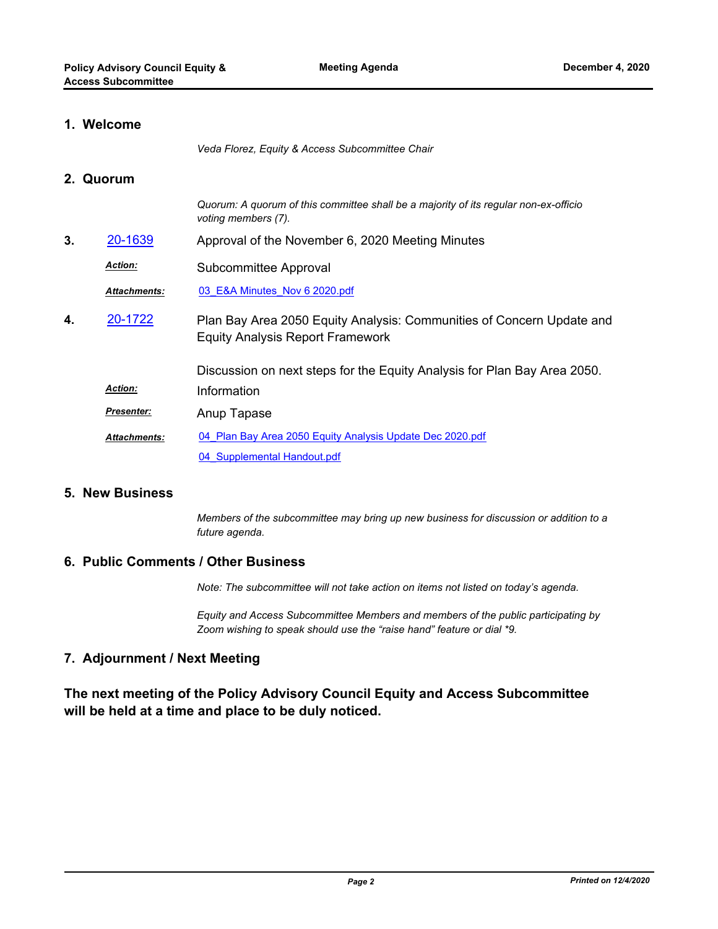## **1. Welcome**

*Veda Florez, Equity & Access Subcommittee Chair*

#### **2. Quorum**

**4.** 

|    |                     | Quorum: A quorum of this committee shall be a majority of its regular non-ex-officio<br>voting members (7).      |
|----|---------------------|------------------------------------------------------------------------------------------------------------------|
| 3. | 20-1639             | Approval of the November 6, 2020 Meeting Minutes                                                                 |
|    | <b>Action:</b>      | Subcommittee Approval                                                                                            |
|    | <b>Attachments:</b> | 03 E&A Minutes Nov 6 2020.pdf                                                                                    |
| 4. | 20-1722             | Plan Bay Area 2050 Equity Analysis: Communities of Concern Update and<br><b>Equity Analysis Report Framework</b> |
|    |                     | Discussion on next steps for the Equity Analysis for Plan Bay Area 2050.                                         |
|    | <b>Action:</b>      | Information                                                                                                      |
|    | <b>Presenter:</b>   | Anup Tapase                                                                                                      |
|    | <b>Attachments:</b> | 04 Plan Bay Area 2050 Equity Analysis Update Dec 2020.pdf                                                        |
|    |                     | 04 Supplemental Handout.pdf                                                                                      |

#### **5. New Business**

*Members of the subcommittee may bring up new business for discussion or addition to a future agenda.*

#### **6. Public Comments / Other Business**

*Note: The subcommittee will not take action on items not listed on today's agenda.*

*Equity and Access Subcommittee Members and members of the public participating by Zoom wishing to speak should use the "raise hand" feature or dial \*9.*

## **7. Adjournment / Next Meeting**

**The next meeting of the Policy Advisory Council Equity and Access Subcommittee will be held at a time and place to be duly noticed.**